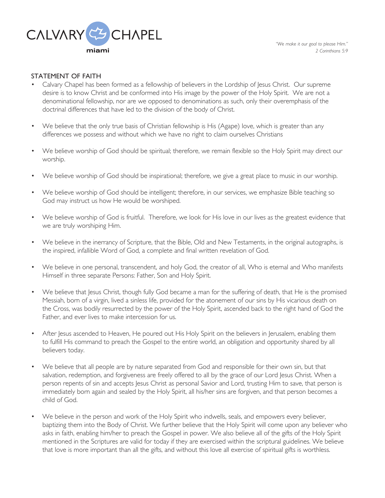

## STATEMENT OF FAITH

- Calvary Chapel has been formed as a fellowship of believers in the Lordship of Jesus Christ. Our supreme desire is to know Christ and be conformed into His image by the power of the Holy Spirit. We are not a denominational fellowship, nor are we opposed to denominations as such, only their overemphasis of the doctrinal differences that have led to the division of the body of Christ.
- We believe that the only true basis of Christian fellowship is His (Agape) love, which is greater than any differences we possess and without which we have no right to claim ourselves Christians
- We believe worship of God should be spiritual; therefore, we remain flexible so the Holy Spirit may direct our worship.
- We believe worship of God should be inspirational; therefore, we give a great place to music in our worship.
- We believe worship of God should be intelligent; therefore, in our services, we emphasize Bible teaching so God may instruct us how He would be worshiped.
- We believe worship of God is fruitful. Therefore, we look for His love in our lives as the greatest evidence that we are truly worshiping Him.
- We believe in the inerrancy of Scripture, that the Bible, Old and New Testaments, in the original autographs, is the inspired, infallible Word of God, a complete and final written revelation of God.
- We believe in one personal, transcendent, and holy God, the creator of all, Who is eternal and Who manifests Himself in three separate Persons: Father, Son and Holy Spirit.
- We believe that Jesus Christ, though fully God became a man for the suffering of death, that He is the promised Messiah, born of a virgin, lived a sinless life, provided for the atonement of our sins by His vicarious death on the Cross, was bodily resurrected by the power of the Holy Spirit, ascended back to the right hand of God the Father, and ever lives to make intercession for us.
- After Jesus ascended to Heaven, He poured out His Holy Spirit on the believers in Jerusalem, enabling them to fulfill His command to preach the Gospel to the entire world, an obligation and opportunity shared by all believers today.
- We believe that all people are by nature separated from God and responsible for their own sin, but that salvation, redemption, and forgiveness are freely offered to all by the grace of our Lord Jesus Christ. When a person repents of sin and accepts Jesus Christ as personal Savior and Lord, trusting Him to save, that person is immediately born again and sealed by the Holy Spirit, all his/her sins are forgiven, and that person becomes a child of God.
- We believe in the person and work of the Holy Spirit who indwells, seals, and empowers every believer, baptizing them into the Body of Christ. We further believe that the Holy Spirit will come upon any believer who asks in faith, enabling him/her to preach the Gospel in power. We also believe all of the gifts of the Holy Spirit mentioned in the Scriptures are valid for today if they are exercised within the scriptural guidelines. We believe that love is more important than all the gifts, and without this love all exercise of spiritual gifts is worthless.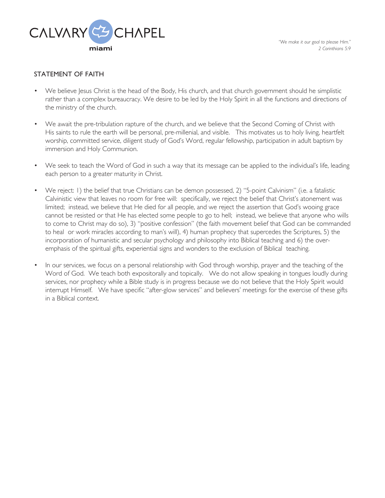

*"We make it our goal to please Him." 2 Corinthians 5:9*

## STATEMENT OF FAITH

- We believe Jesus Christ is the head of the Body, His church, and that church government should he simplistic rather than a complex bureaucracy. We desire to be led by the Holy Spirit in all the functions and directions of the ministry of the church.
- We await the pre-tribulation rapture of the church, and we believe that the Second Coming of Christ with His saints to rule the earth will be personal, pre-millenial, and visible. This motivates us to holy living, heartfelt worship, committed service, diligent study of God's Word, regular fellowship, participation in adult baptism by immersion and Holy Communion.
- We seek to teach the Word of God in such a way that its message can be applied to the individual's life, leading each person to a greater maturity in Christ.
- We reject: 1) the belief that true Christians can be demon possessed, 2) "5-point Calvinism" (i.e. a fatalistic Calvinistic view that leaves no room for free will: specifically, we reject the belief that Christ's atonement was limited; instead, we believe that He died for all people, and we reject the assertion that God's wooing grace cannot be resisted or that He has elected some people to go to hell; instead, we believe that anyone who wills to come to Christ may do so), 3) "positive confession" (the faith movement belief that God can be commanded to heal or work miracles according to man's will), 4) human prophecy that supercedes the Scriptures, 5) the incorporation of humanistic and secular psychology and philosophy into Biblical teaching and 6) the overemphasis of the spiritual gifts, experiential signs and wonders to the exclusion of Biblical teaching.
- In our services, we focus on a personal relationship with God through worship, prayer and the teaching of the Word of God. We teach both expositorally and topically. We do not allow speaking in tongues loudly during services, nor prophecy while a Bible study is in progress because we do not believe that the Holy Spirit would interrupt Himself. We have specific "after-glow services" and believers' meetings for the exercise of these gifts in a Biblical context.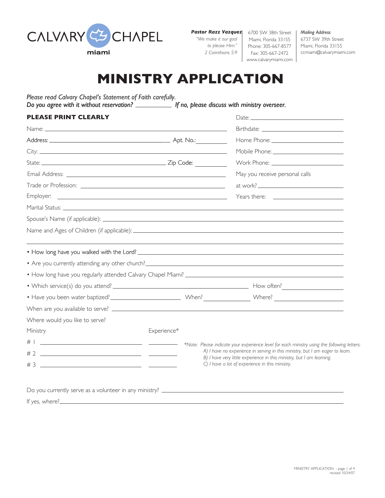

*Pastor Razz Vazquez*

*"We make it our goal to please Him." 2 Corinthians 5:9*

6700 SW 38th Street Miami, Florida 33155 Phone: 305-667-8577 Fax: 305-667-2472 www.calvarymiami.com

*Mailing Address* 6737 SW 39th Street Miami, Florida 33155 ccmiami@calvarymiami.com

## **MINISTRY APPLICATION**

*Please read Calvary Chapel's Statement of Faith carefully. Do you agree with it without reservation?* If no, please discuss with ministry overseer.

| <b>PLEASE PRINT CLEARLY</b>                                                                                                        |             |                                                                                                                                                                                                                                                                                                                                                                                                                                                                                          |  |
|------------------------------------------------------------------------------------------------------------------------------------|-------------|------------------------------------------------------------------------------------------------------------------------------------------------------------------------------------------------------------------------------------------------------------------------------------------------------------------------------------------------------------------------------------------------------------------------------------------------------------------------------------------|--|
|                                                                                                                                    |             |                                                                                                                                                                                                                                                                                                                                                                                                                                                                                          |  |
|                                                                                                                                    |             |                                                                                                                                                                                                                                                                                                                                                                                                                                                                                          |  |
|                                                                                                                                    |             |                                                                                                                                                                                                                                                                                                                                                                                                                                                                                          |  |
|                                                                                                                                    |             |                                                                                                                                                                                                                                                                                                                                                                                                                                                                                          |  |
|                                                                                                                                    |             | May you receive personal calls                                                                                                                                                                                                                                                                                                                                                                                                                                                           |  |
|                                                                                                                                    |             | $\qquad \qquad \text{at work?} \qquad \qquad \text{or} \qquad \qquad \text{or} \qquad \text{or} \qquad \text{or} \qquad \text{or} \qquad \text{or} \qquad \text{or} \qquad \text{or} \qquad \text{or} \qquad \text{or} \qquad \text{or} \qquad \text{or} \qquad \text{or} \qquad \text{or} \qquad \text{or} \qquad \text{or} \qquad \text{or} \qquad \text{or} \qquad \text{or} \qquad \text{or} \qquad \text{or} \qquad \text{or} \qquad \text{or} \qquad \text{or} \qquad \text{or} \$ |  |
| Employer:<br><u> 1990 - Johann Harry Harry Harry Harry Harry Harry Harry Harry Harry Harry Harry Harry Harry Harry Harry Harry</u> |             | Years there: <u>________________________</u>                                                                                                                                                                                                                                                                                                                                                                                                                                             |  |
|                                                                                                                                    |             |                                                                                                                                                                                                                                                                                                                                                                                                                                                                                          |  |
|                                                                                                                                    |             |                                                                                                                                                                                                                                                                                                                                                                                                                                                                                          |  |
|                                                                                                                                    |             |                                                                                                                                                                                                                                                                                                                                                                                                                                                                                          |  |
|                                                                                                                                    |             |                                                                                                                                                                                                                                                                                                                                                                                                                                                                                          |  |
|                                                                                                                                    |             |                                                                                                                                                                                                                                                                                                                                                                                                                                                                                          |  |
|                                                                                                                                    |             |                                                                                                                                                                                                                                                                                                                                                                                                                                                                                          |  |
|                                                                                                                                    |             |                                                                                                                                                                                                                                                                                                                                                                                                                                                                                          |  |
|                                                                                                                                    |             |                                                                                                                                                                                                                                                                                                                                                                                                                                                                                          |  |
|                                                                                                                                    |             |                                                                                                                                                                                                                                                                                                                                                                                                                                                                                          |  |
|                                                                                                                                    |             |                                                                                                                                                                                                                                                                                                                                                                                                                                                                                          |  |
|                                                                                                                                    |             |                                                                                                                                                                                                                                                                                                                                                                                                                                                                                          |  |
| Where would you like to serve?                                                                                                     |             |                                                                                                                                                                                                                                                                                                                                                                                                                                                                                          |  |
| Ministry                                                                                                                           | Experience* |                                                                                                                                                                                                                                                                                                                                                                                                                                                                                          |  |
|                                                                                                                                    |             | *Note: Please indicate your experience level for each ministry using the following letters:                                                                                                                                                                                                                                                                                                                                                                                              |  |
|                                                                                                                                    |             | A) I have no experience in serving in this ministry, but I am eager to learn.<br>B) I have very little experience in this ministry, but I am learning.                                                                                                                                                                                                                                                                                                                                   |  |

If yes, where?\_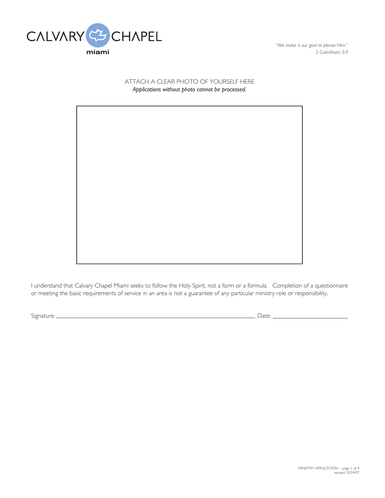

*"We make it our goal to please Him." 2 Corinthians 5:9*

## ATTACH A CLEAR PHOTO OF YOURSELF HERE *Applications without photo cannot be processed.*

I understand that Calvary Chapel Miami seeks to follow the Holy Spirit, not a form or a formula. Completion of a questionnaire or meeting the basic requirements of service in an area is not a guarantee of any particular ministry role or responsibility.

Signature: Date: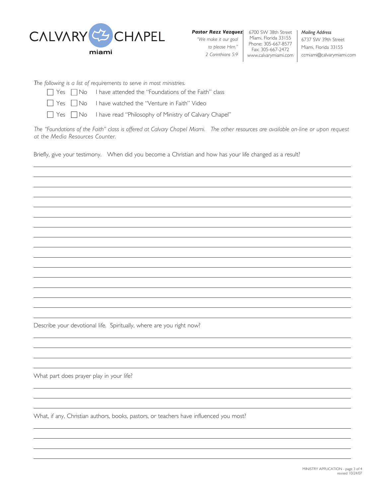

*"We make it our goal to please Him." 2 Corinthians 5:9*

6700 SW 38th Street *Pastor Razz Vazquez* Miami, Florida 33155 Phone: 305-667-8577 Fax: 305-667-2472 www.calvarymiami.com

*Mailing Address* 6737 SW 39th Street Miami, Florida 33155 ccmiami@calvarymiami.com

*The following is a list of requirements to serve in most ministries.*

 $\Box$  Yes  $\Box$  No I have attended the "Foundations of the Faith" class

■ Yes ■ No I have watched the "Venture in Faith" Video

T Yes No I have read "Philosophy of Ministry of Calvary Chapel"

*The "Foundations of the Faith" class is offered at Calvary Chapel Miami. The other resources are available on-line or upon request at the Media Resources Counter.*

Briefly, give your testimony. When did you become a Christian and how has your life changed as a result?

Describe your devotional life. Spiritually, where are you right now?

What part does prayer play in your life?

What, if any, Christian authors, books, pastors, or teachers have influenced you most?